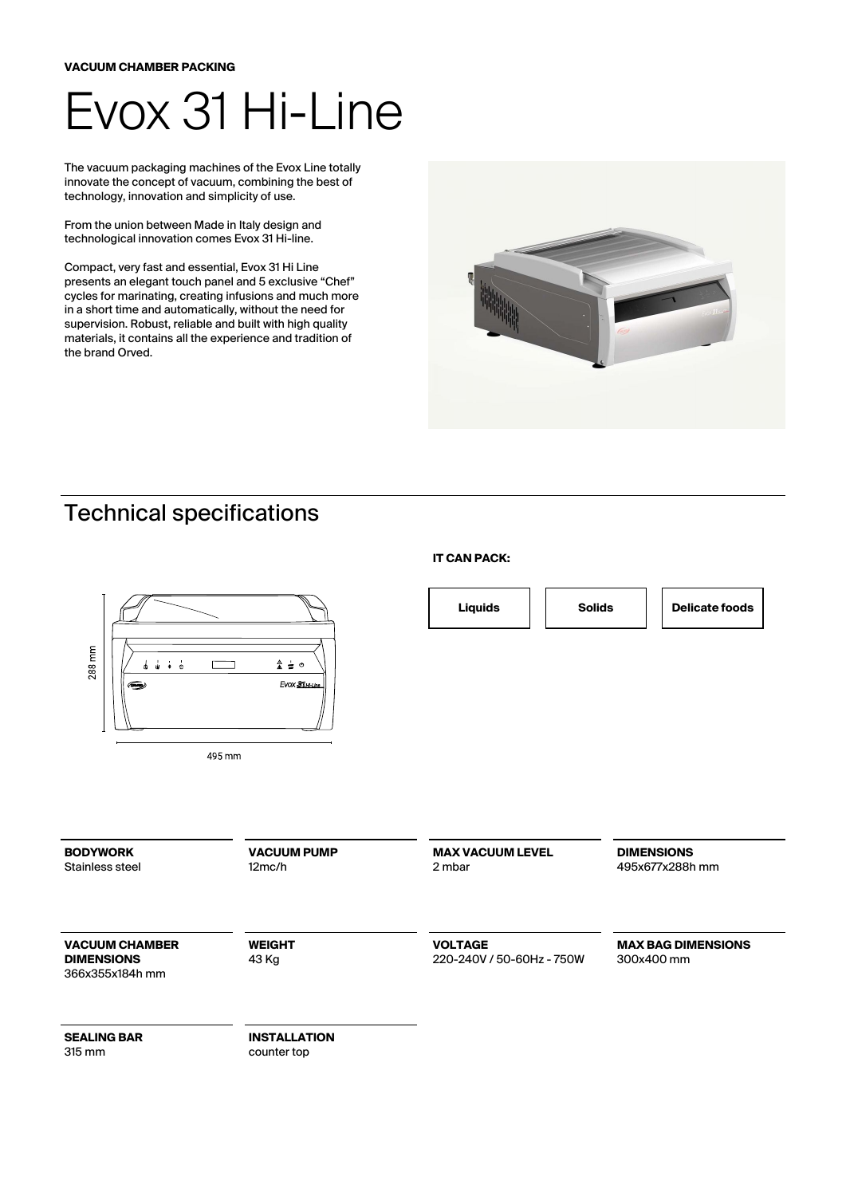## Evox 31 Hi-Line

The vacuum packaging machines of the Evox Line totally innovate the concept of vacuum, combining the best of technology, innovation and simplicity of use.

From the union between Made in Italy design and technological innovation comes Evox 31 Hi-line.

Compact, very fast and essential, Evox 31 Hi Line presents an elegant touch panel and 5 exclusive "Chef" cycles for marinating, creating infusions and much more in a short time and automatically, without the need for supervision. Robust, reliable and built with high quality materials, it contains all the experience and tradition of the brand Orved.



## Technical specifications



**IT CAN PACK:**